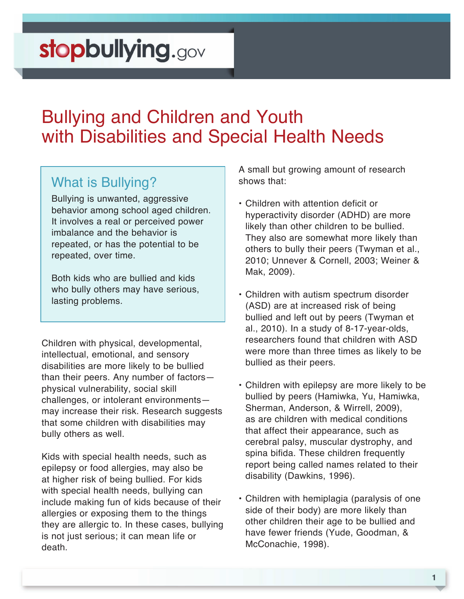### Bullying and Children and Youth with Disabilities and Special Health Needs

#### What is Bullying?

Bullying is unwanted, aggressive behavior among school aged children. It involves a real or perceived power imbalance and the behavior is repeated, or has the potential to be repeated, over time.

Both kids who are bullied and kids who bully others may have serious, lasting problems.

Children with physical, developmental, intellectual, emotional, and sensory disabilities are more likely to be bullied than their peers. Any number of factors physical vulnerability, social skill challenges, or intolerant environments may increase their risk. Research suggests that some children with disabilities may bully others as well.

Kids with special health needs, such as epilepsy or food allergies, may also be at higher risk of being bullied. For kids with special health needs, bullying can include making fun of kids because of their allergies or exposing them to the things they are allergic to. In these cases, bullying is not just serious; it can mean life or death.

A small but growing amount of research shows that:

- Children with attention deficit or hyperactivity disorder (ADHD) are more likely than other children to be bullied. They also are somewhat more likely than others to bully their peers (Twyman et al., 2010; Unnever & Cornell, 2003; Weiner & Mak, 2009).
- Children with autism spectrum disorder (ASD) are at increased risk of being bullied and left out by peers (Twyman et al., 2010). In a study of 8-17-year-olds, researchers found that children with ASD were more than three times as likely to be bullied as their peers.
- Children with epilepsy are more likely to be bullied by peers (Hamiwka, Yu, Hamiwka, Sherman, Anderson, & Wirrell, 2009), as are children with medical conditions that affect their appearance, such as cerebral palsy, muscular dystrophy, and spina bifida. These children frequently report being called names related to their disability (Dawkins, 1996).
- Children with hemiplagia (paralysis of one side of their body) are more likely than other children their age to be bullied and have fewer friends (Yude, Goodman, & McConachie, 1998).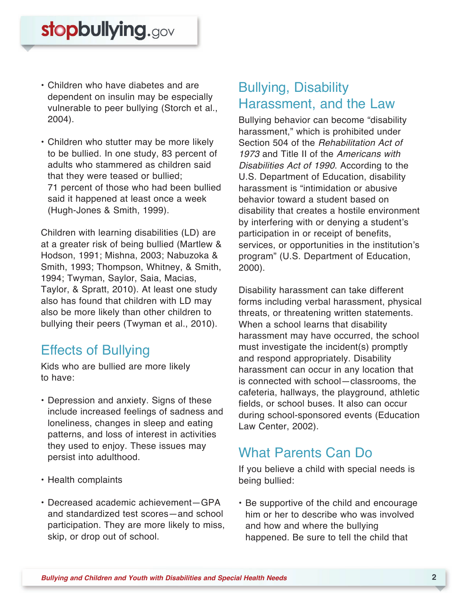- Children who have diabetes and are dependent on insulin may be especially vulnerable to peer bullying (Storch et al., 2004).
- Children who stutter may be more likely to be bullied. In one study, 83 percent of adults who stammered as children said that they were teased or bullied; 71 percent of those who had been bullied said it happened at least once a week (Hugh-Jones & Smith, 1999).

Children with learning disabilities (LD) are at a greater risk of being bullied (Martlew & Hodson, 1991; Mishna, 2003; Nabuzoka & Smith, 1993; Thompson, Whitney, & Smith, 1994; Twyman, Saylor, Saia, Macias, Taylor, & Spratt, 2010). At least one study also has found that children with LD may also be more likely than other children to bullying their peers (Twyman et al., 2010).

#### Effects of Bullying

Kids who are bullied are more likely to have:

- Depression and anxiety. Signs of these include increased feelings of sadness and loneliness, changes in sleep and eating patterns, and loss of interest in activities they used to enjoy. These issues may persist into adulthood.
- Health complaints
- Decreased academic achievement—GPA and standardized test scores—and school participation. They are more likely to miss, skip, or drop out of school.

#### Bullying, Disability Harassment, and the Law

Bullying behavior can become "disability harassment," which is prohibited under Section 504 of the Rehabilitation Act of 1973 and Title II of the Americans with Disabilities Act of 1990. According to the U.S. Department of Education, disability harassment is "intimidation or abusive behavior toward a student based on disability that creates a hostile environment by interfering with or denying a student's participation in or receipt of benefits, services, or opportunities in the institution's program" (U.S. Department of Education, 2000).

Disability harassment can take different forms including verbal harassment, physical threats, or threatening written statements. When a school learns that disability harassment may have occurred, the school must investigate the incident(s) promptly and respond appropriately. Disability harassment can occur in any location that is connected with school—classrooms, the cafeteria, hallways, the playground, athletic fields, or school buses. It also can occur during school-sponsored events (Education Law Center, 2002).

#### What Parents Can Do

If you believe a child with special needs is being bullied:

• Be supportive of the child and encourage him or her to describe who was involved and how and where the bullying happened. Be sure to tell the child that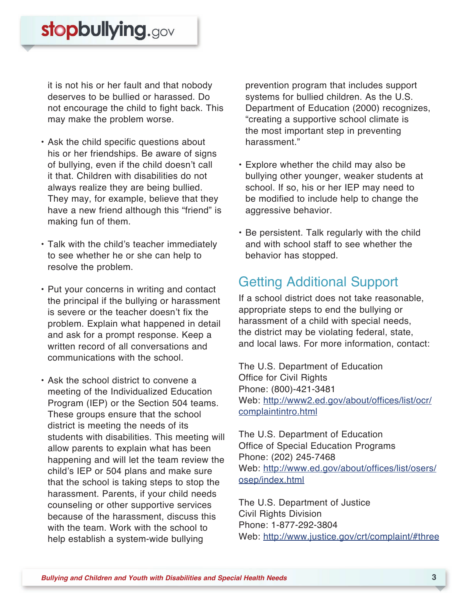it is not his or her fault and that nobody deserves to be bullied or harassed. Do not encourage the child to fight back. This may make the problem worse.

- Ask the child specific questions about his or her friendships. Be aware of signs of bullying, even if the child doesn't call it that. Children with disabilities do not always realize they are being bullied. They may, for example, believe that they have a new friend although this "friend" is making fun of them.
- Talk with the child's teacher immediately to see whether he or she can help to resolve the problem.
- Put your concerns in writing and contact the principal if the bullying or harassment is severe or the teacher doesn't fix the problem. Explain what happened in detail and ask for a prompt response. Keep a written record of all conversations and communications with the school.
- Ask the school district to convene a meeting of the Individualized Education Program (IEP) or the Section 504 teams. These groups ensure that the school district is meeting the needs of its students with disabilities. This meeting will allow parents to explain what has been happening and will let the team review the child's IEP or 504 plans and make sure that the school is taking steps to stop the harassment. Parents, if your child needs counseling or other supportive services because of the harassment, discuss this with the team. Work with the school to help establish a system-wide bullying

prevention program that includes support systems for bullied children. As the U.S. Department of Education (2000) recognizes, "creating a supportive school climate is the most important step in preventing harassment."

- Explore whether the child may also be bullying other younger, weaker students at school. If so, his or her IEP may need to be modified to include help to change the aggressive behavior.
- Be persistent. Talk regularly with the child and with school staff to see whether the behavior has stopped.

#### Getting Additional Support

If a school district does not take reasonable, appropriate steps to end the bullying or harassment of a child with special needs, the district may be violating federal, state, and local laws. For more information, contact:

The U.S. Department of Education Office for Civil Rights Phone: (800)-421-3481 [Web: http://www2.ed.gov/about/offices/list/ocr/](http://www.ed.gov/about/offices/list/ocr/complaintintro.html) complaintintro.html

The U.S. Department of Education Office of Special Education Programs Phone: (202) 245-7468 [Web: http://www.ed.gov/about/offices/list/osers/](http://www.ed.gov/about/offices/list/osers/osep/index.html) osep/index.html

The U.S. Department of Justice Civil Rights Division Phone: 1-877-292-3804 Web:<http://www.justice.gov/crt/complaint/#three>